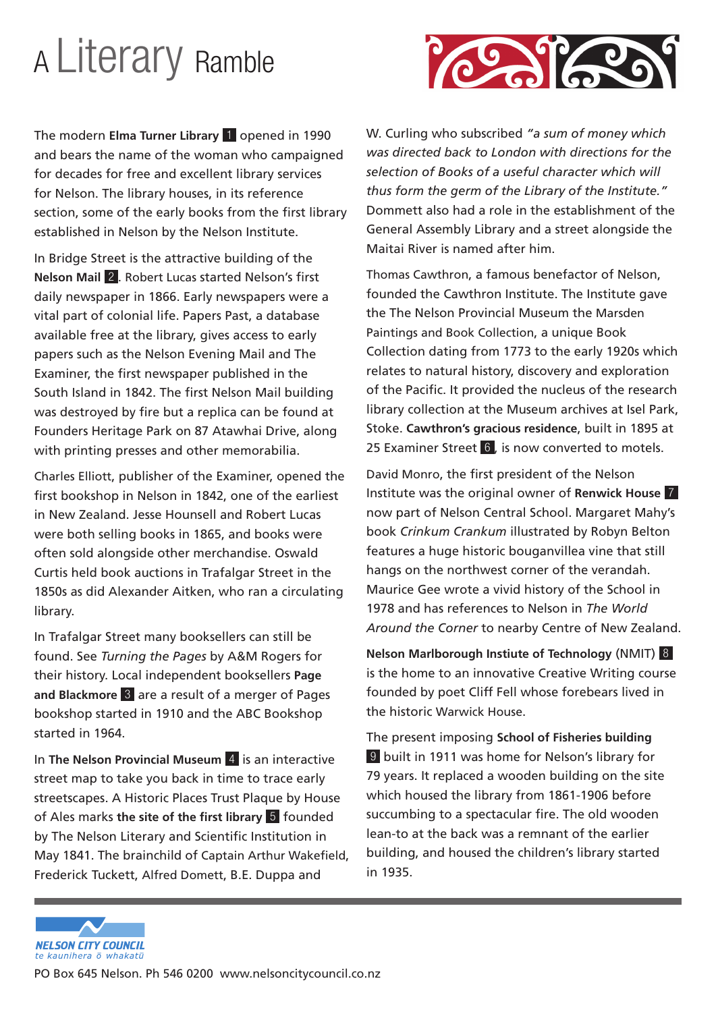## A Literary Ramble

ro Mado

The modern **Elma Turner Library** 1 opened in 1990 and bears the name of the woman who campaigned for decades for free and excellent library services for Nelson. The library houses, in its reference section, some of the early books from the first library established in Nelson by the Nelson Institute.

In Bridge Street is the attractive building of the **Nelson Mail** 2 . Robert Lucas started Nelson's first daily newspaper in 1866. Early newspapers were a vital part of colonial life. Papers Past, a database available free at the library, gives access to early papers such as the Nelson Evening Mail and The Examiner, the first newspaper published in the South Island in 1842. The first Nelson Mail building was destroyed by fire but a replica can be found at Founders Heritage Park on 87 Atawhai Drive, along with printing presses and other memorabilia.

Charles Elliott, publisher of the Examiner, opened the first bookshop in Nelson in 1842, one of the earliest in New Zealand. Jesse Hounsell and Robert Lucas were both selling books in 1865, and books were often sold alongside other merchandise. Oswald Curtis held book auctions in Trafalgar Street in the 1850s as did Alexander Aitken, who ran a circulating library.

In Trafalgar Street many booksellers can still be found. See *Turning the Pages* by A&M Rogers for their history. Local independent booksellers **Page and Blackmore** 3 are a result of a merger of Pages bookshop started in 1910 and the ABC Bookshop started in 1964.

In **The Nelson Provincial Museum** 4 is an interactive street map to take you back in time to trace early streetscapes. A Historic Places Trust Plaque by House of Ales marks **the site of the first library** 5 founded by The Nelson Literary and Scientific Institution in May 1841. The brainchild of Captain Arthur Wakefield, Frederick Tuckett, Alfred Domett, B.E. Duppa and

W. Curling who subscribed *"a sum of money which was directed back to London with directions for the selection of Books of a useful character which will thus form the germ of the Library of the Institute."* Dommett also had a role in the establishment of the General Assembly Library and a street alongside the Maitai River is named after him.

Thomas Cawthron, a famous benefactor of Nelson, founded the Cawthron Institute. The Institute gave the The Nelson Provincial Museum the Marsden Paintings and Book Collection, a unique Book Collection dating from 1773 to the early 1920s which relates to natural history, discovery and exploration of the Pacific. It provided the nucleus of the research library collection at the Museum archives at Isel Park, Stoke. **Cawthron's gracious residence**, built in 1895 at 25 Examiner Street 6, is now converted to motels.

David Monro, the first president of the Nelson Institute was the original owner of **Renwick House** 7 now part of Nelson Central School. Margaret Mahy's book *Crinkum Crankum* illustrated by Robyn Belton features a huge historic bouganvillea vine that still hangs on the northwest corner of the verandah. Maurice Gee wrote a vivid history of the School in 1978 and has references to Nelson in *The World Around the Corner* to nearby Centre of New Zealand.

**Nelson Marlborough Instiute of Technology** (NMIT) 8 is the home to an innovative Creative Writing course founded by poet Cliff Fell whose forebears lived in the historic Warwick House.

The present imposing **School of Fisheries building** 9 built in 1911 was home for Nelson's library for 79 years. It replaced a wooden building on the site which housed the library from 1861-1906 before succumbing to a spectacular fire. The old wooden lean-to at the back was a remnant of the earlier building, and housed the children's library started in 1935.